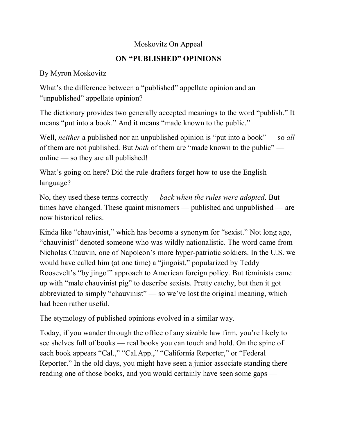## Moskovitz On Appeal

## **ON "PUBLISHED" OPINIONS**

## By Myron Moskovitz

What's the difference between a "published" appellate opinion and an "unpublished" appellate opinion?

The dictionary provides two generally accepted meanings to the word "publish." It means "put into a book." And it means "made known to the public."

Well, *neither* a published nor an unpublished opinion is "put into a book" — so *all* of them are not published. But *both* of them are "made known to the public" online — so they are all published!

What's going on here? Did the rule-drafters forget how to use the English language?

No, they used these terms correctly — *back when the rules were adopted*. But times have changed. These quaint misnomers — published and unpublished — are now historical relics.

Kinda like "chauvinist," which has become a synonym for "sexist." Not long ago, "chauvinist" denoted someone who was wildly nationalistic. The word came from Nicholas Chauvin, one of Napoleon's more hyper-patriotic soldiers. In the U.S. we would have called him (at one time) a "jingoist," popularized by Teddy Roosevelt's "by jingo!" approach to American foreign policy. But feminists came up with "male chauvinist pig" to describe sexists. Pretty catchy, but then it got abbreviated to simply "chauvinist" — so we've lost the original meaning, which had been rather useful.

The etymology of published opinions evolved in a similar way.

Today, if you wander through the office of any sizable law firm, you're likely to see shelves full of books — real books you can touch and hold. On the spine of each book appears "Cal.," "Cal.App.," "California Reporter," or "Federal Reporter." In the old days, you might have seen a junior associate standing there reading one of those books, and you would certainly have seen some gaps —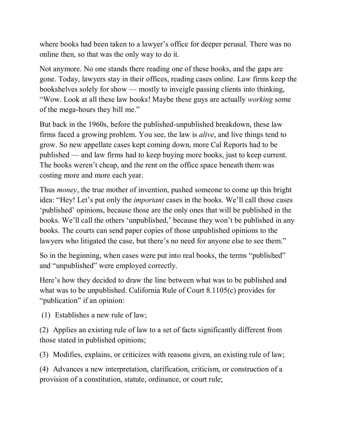where books had been taken to a lawyer's office for deeper perusal. There was no online then, so that was the only way to do it.

Not anymore. No one stands there reading one of these books, and the gaps are gone. Today, lawyers stay in their offices, reading cases online. Law firms keep the bookshelves solely for show — mostly to inveigle passing clients into thinking, "Wow. Look at all these law books! Maybe these guys are actually *working* some of the mega-hours they bill me."

But back in the 1960s, before the published-unpublished breakdown, these law firms faced a growing problem. You see, the law is *alive*, and live things tend to grow. So new appellate cases kept coming down, more Cal Reports had to be published — and law firms had to keep buying more books, just to keep current. The books weren't cheap, and the rent on the office space beneath them was costing more and more each year.

Thus *money*, the true mother of invention, pushed someone to come up this bright idea: "Hey! Let's put only the *important* cases in the books. We'll call those cases 'published' opinions, because those are the only ones that will be published in the books. We'll call the others 'unpublished,' because they won't be published in any books. The courts can send paper copies of those unpublished opinions to the lawyers who litigated the case, but there's no need for anyone else to see them."

So in the beginning, when cases were put into real books, the terms "published" and "unpublished" were employed correctly.

Here's how they decided to draw the line between what was to be published and what was to be unpublished. California Rule of Court 8.1105(c) provides for "*publication*" if an opinion:

(1) Establishes a new rule of law;

(2) Applies an existing rule of law to a set of facts significantly different from those stated in published opinions;

(3) Modifies, explains, or criticizes with reasons given, an existing rule of law;

(4) Advances a new interpretation, clarification, criticism, or construction of a provision of a constitution, statute, ordinance, or court rule;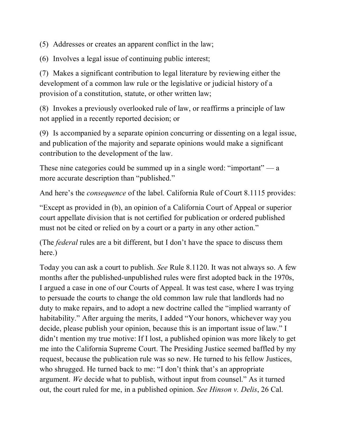(5) Addresses or creates an apparent conflict in the law;

(6) Involves a legal issue of continuing public interest;

(7) Makes a significant contribution to legal literature by reviewing either the development of a common law rule or the legislative or judicial history of a provision of a constitution, statute, or other written law;

(8) Invokes a previously overlooked rule of law, or reaffirms a principle of law not applied in a recently reported decision; or

(9) Is accompanied by a separate opinion concurring or dissenting on a legal issue, and publication of the majority and separate opinions would make a significant contribution to the development of the law.

These nine categories could be summed up in a single word: "important" — a more accurate description than "published."

And here's the *consequence* of the label. California Rule of Court 8.1115 provides:

"Except as provided in (b), an opinion of a California Court of Appeal or superior court appellate division that is not certified for publication or ordered published must not be cited or relied on by a court or a party in any other action."

(The *federal* rules are a bit different, but I don't have the space to discuss them here.)

Today you can ask a court to publish. *See* Rule 8.1120. It was not always so. A few months after the published-unpublished rules were first adopted back in the 1970s, I argued a case in one of our Courts of Appeal. It was test case, where I was trying to persuade the courts to change the old common law rule that landlords had no duty to make repairs, and to adopt a new doctrine called the "implied warranty of habitability." After arguing the merits, I added "Your honors, whichever way you decide, please publish your opinion, because this is an important issue of law." I didn't mention my true motive: If I lost, a published opinion was more likely to get me into the California Supreme Court. The Presiding Justice seemed baffled by my request, because the publication rule was so new. He turned to his fellow Justices, who shrugged. He turned back to me: "I don't think that's an appropriate argument. *We* decide what to publish, without input from counsel." As it turned out, the court ruled for me, in a published opinion. *See Hinson v. Delis*, 26 Cal.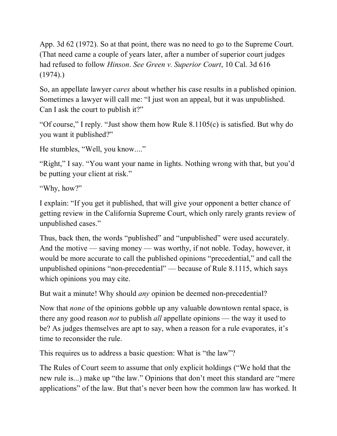App. 3d 62 (1972). So at that point, there was no need to go to the Supreme Court. (That need came a couple of years later, after a number of superior court judges had refused to follow *Hinson*. *See Green v. Superior Court*, 10 Cal. 3d 616  $(1974).$ 

So, an appellate lawyer *cares* about whether his case results in a published opinion. Sometimes a lawyer will call me: "I just won an appeal, but it was unpublished. Can I ask the court to publish it?"

"Of course," I reply. "Just show them how Rule 8.1105(c) is satisfied. But why do you want it published?"

He stumbles, "Well, you know...."

"Right," I say. "You want your name in lights. Nothing wrong with that, but you'd be putting your client at risk."

"Why, how?"

I explain: "If you get it published, that will give your opponent a better chance of getting review in the California Supreme Court, which only rarely grants review of unpublished cases."

Thus, back then, the words "published" and "unpublished" were used accurately. And the motive — saving money — was worthy, if not noble. Today, however, it would be more accurate to call the published opinions "precedential," and call the unpublished opinions "non-precedential" — because of Rule 8.1115, which says which opinions you may cite.

But wait a minute! Why should *any* opinion be deemed non-precedential?

Now that *none* of the opinions gobble up any valuable downtown rental space, is there any good reason *not* to publish *all* appellate opinions — the way it used to be? As judges themselves are apt to say, when a reason for a rule evaporates, it's time to reconsider the rule.

This requires us to address a basic question: What is "the law"?

The Rules of Court seem to assume that only explicit holdings ("We hold that the new rule is...) make up "the law." Opinions that don't meet this standard are "mere" applications" of the law. But that's never been how the common law has worked. It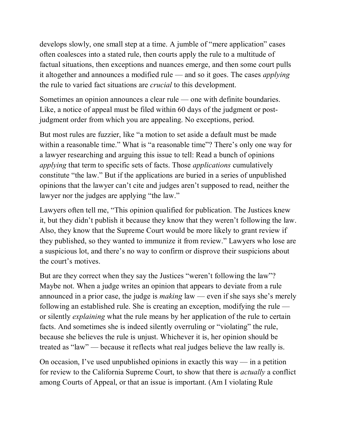develops slowly, one small step at a time. A jumble of "mere application" cases often coalesces into a stated rule, then courts apply the rule to a multitude of factual situations, then exceptions and nuances emerge, and then some court pulls it altogether and announces a modified rule — and so it goes. The cases *applying* the rule to varied fact situations are *crucial* to this development.

Sometimes an opinion announces a clear rule — one with definite boundaries. Like, a notice of appeal must be filed within 60 days of the judgment or postjudgment order from which you are appealing. No exceptions, period.

But most rules are fuzzier, like "a motion to set aside a default must be made within a reasonable time." What is "a reasonable time"? There's only one way for a lawyer researching and arguing this issue to tell: Read a bunch of opinions *applying* that term to specific sets of facts. Those *applications* cumulatively constitute "the law." But if the applications are buried in a series of unpublished opinions that the lawyer can't cite and judges aren't supposed to read, neither the lawyer nor the judges are applying "the law."

Lawyers often tell me, "This opinion qualified for publication. The Justices knew it, but they didn't publish it because they know that they weren't following the law. Also, they know that the Supreme Court would be more likely to grant review if they published, so they wanted to immunize it from review." Lawyers who lose are a suspicious lot, and there's no way to confirm or disprove their suspicions about the court's motives.

But are they correct when they say the Justices "weren't following the law"? Maybe not. When a judge writes an opinion that appears to deviate from a rule announced in a prior case, the judge is *making* law — even if she says she's merely following an established rule. She is creating an exception, modifying the rule or silently *explaining* what the rule means by her application of the rule to certain facts. And sometimes she is indeed silently overruling or "violating" the rule, because she believes the rule is unjust. Whichever it is, her opinion should be treated as "law" — because it reflects what real judges believe the law really is.

On occasion, I've used unpublished opinions in exactly this way — in a petition for review to the California Supreme Court, to show that there is *actually* a conflict among Courts of Appeal, or that an issue is important. (Am I violating Rule